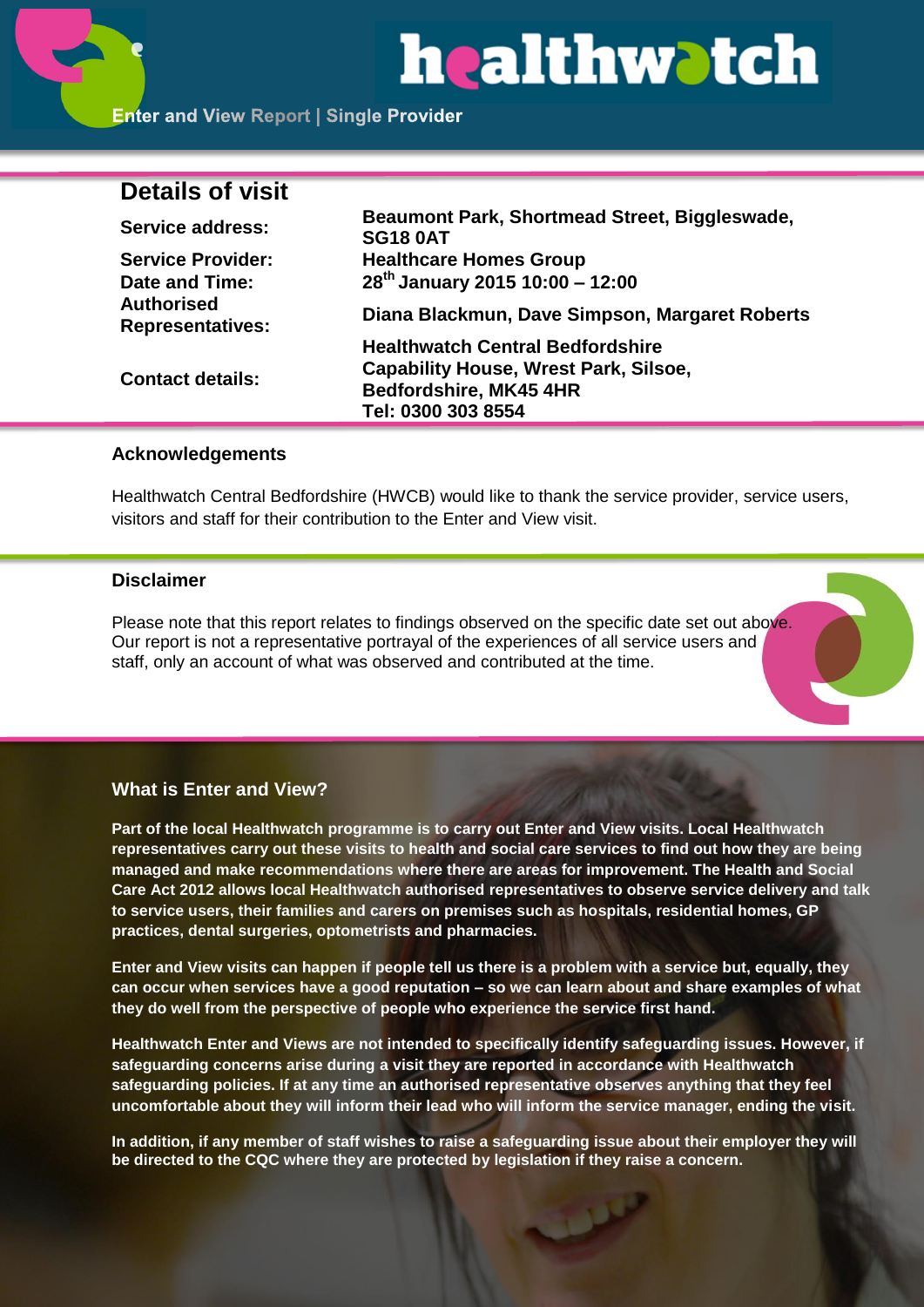

## **Details of visit**

| Service address:                             | Beaumont Park, Shortmead Street, Biggleswade,<br><b>SG18 0AT</b> |
|----------------------------------------------|------------------------------------------------------------------|
| <b>Service Provider:</b>                     | <b>Healthcare Homes Group</b>                                    |
| Date and Time:                               | $28^{th}$ January 2015 10:00 - 12:00                             |
| <b>Authorised</b><br><b>Representatives:</b> | Diana Blackmun, Dave Simpson, Margaret Roberts                   |
| <b>Contact details:</b>                      | <b>Healthwatch Central Bedfordshire</b>                          |
|                                              | <b>Capability House, Wrest Park, Silsoe,</b>                     |
|                                              | Bedfordshire, MK45 4HR                                           |
|                                              | Tel: 0300 303 8554                                               |

## **Acknowledgements**

Healthwatch Central Bedfordshire (HWCB) would like to thank the service provider, service users, visitors and staff for their contribution to the Enter and View visit.

#### **Disclaimer**

Please note that this report relates to findings observed on the specific date set out above. Our report is not a representative portrayal of the experiences of all service users and staff, only an account of what was observed and contributed at the time.

## **What is Enter and View?**

**Part of the local Healthwatch programme is to carry out Enter and View visits. Local Healthwatch representatives carry out these visits to health and social care services to find out how they are being managed and make recommendations where there are areas for improvement. The Health and Social Care Act 2012 allows local Healthwatch authorised representatives to observe service delivery and talk to service users, their families and carers on premises such as hospitals, residential homes, GP practices, dental surgeries, optometrists and pharmacies.** 

**Enter and View visits can happen if people tell us there is a problem with a service but, equally, they can occur when services have a good reputation – so we can learn about and share examples of what they do well from the perspective of people who experience the service first hand.**

**Healthwatch Enter and Views are not intended to specifically identify safeguarding issues. However, if safeguarding concerns arise during a visit they are reported in accordance with Healthwatch safeguarding policies. If at any time an authorised representative observes anything that they feel uncomfortable about they will inform their lead who will inform the service manager, ending the visit.** 

**In addition, if any member of staff wishes to raise a safeguarding issue about their employer they will be directed to the CQC where they are protected by legislation if they raise a concern.**

للمل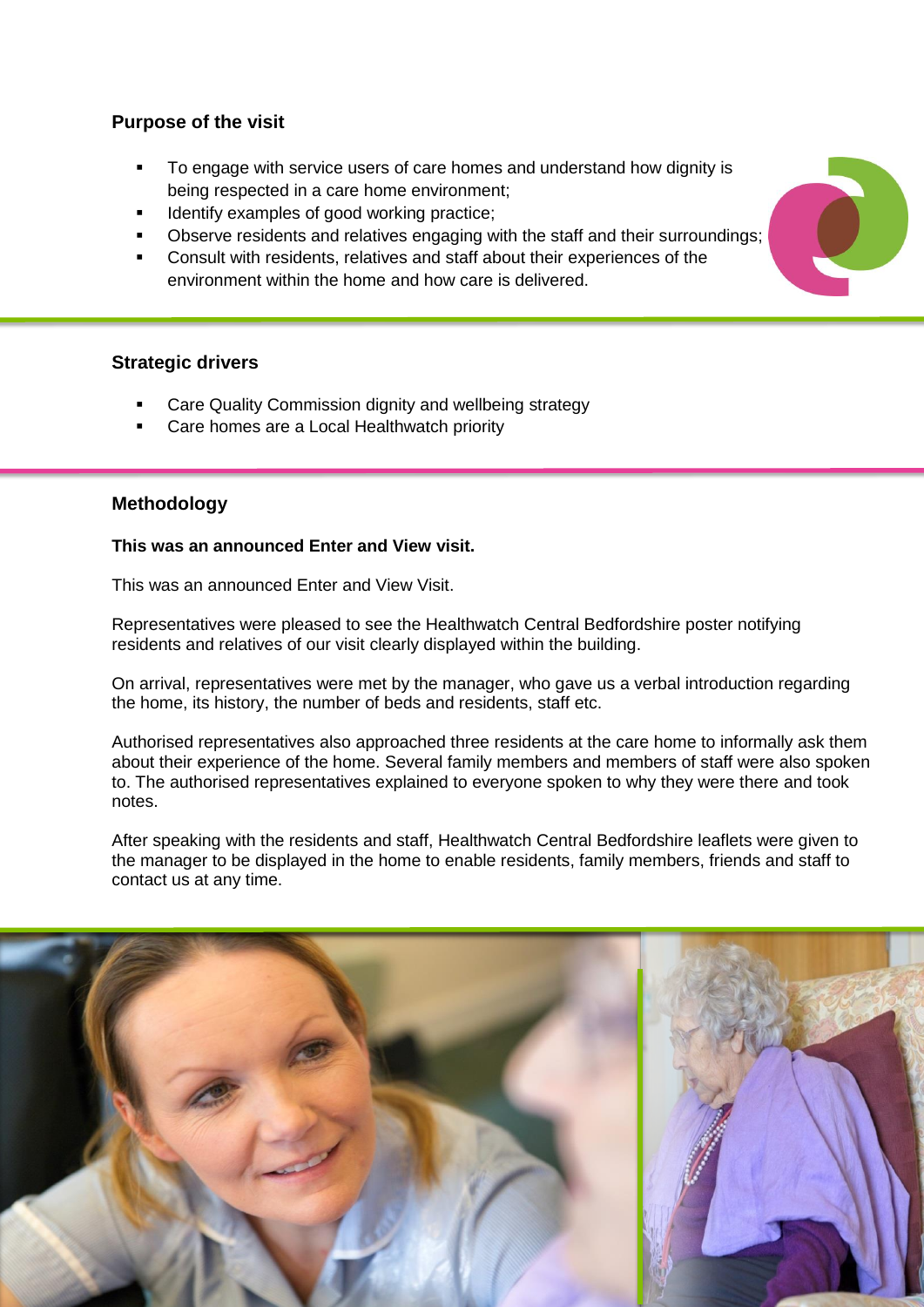## **Purpose of the visit**

- To engage with service users of care homes and understand how dignity is being respected in a care home environment;
- Identify examples of good working practice;
- Observe residents and relatives engaging with the staff and their surroundings;
- Consult with residents, relatives and staff about their experiences of the environment within the home and how care is delivered.

## **Strategic drivers**

- Care Quality Commission dignity and wellbeing strategy
- Care homes are a Local Healthwatch priority

## **Methodology**

## **This was an announced Enter and View visit.**

This was an announced Enter and View Visit.

Representatives were pleased to see the Healthwatch Central Bedfordshire poster notifying residents and relatives of our visit clearly displayed within the building.

On arrival, representatives were met by the manager, who gave us a verbal introduction regarding the home, its history, the number of beds and residents, staff etc.

Authorised representatives also approached three residents at the care home to informally ask them about their experience of the home. Several family members and members of staff were also spoken to. The authorised representatives explained to everyone spoken to why they were there and took notes.

After speaking with the residents and staff, Healthwatch Central Bedfordshire leaflets were given to the manager to be displayed in the home to enable residents, family members, friends and staff to contact us at any time.



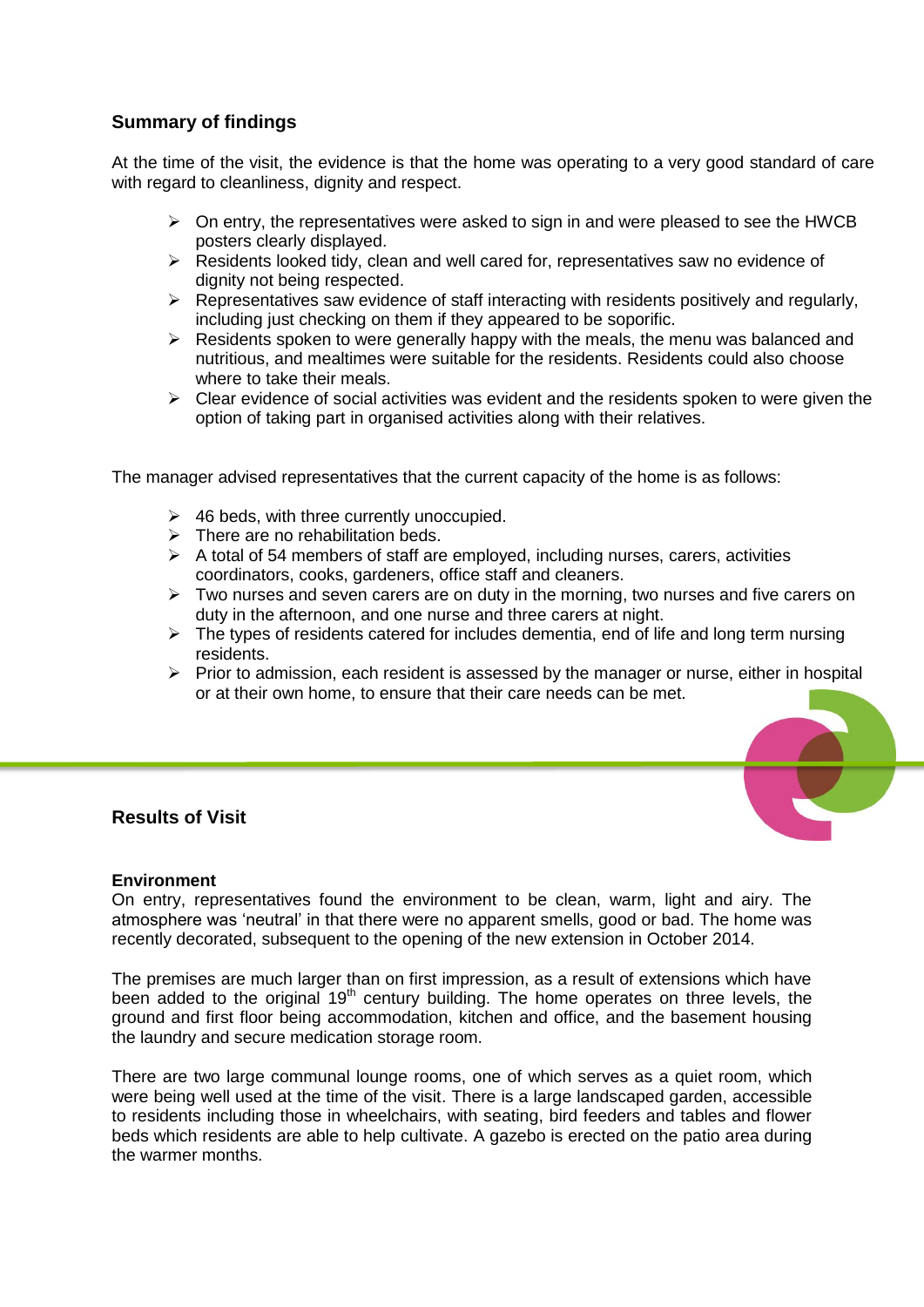## **Summary of findings**

At the time of the visit, the evidence is that the home was operating to a very good standard of care with regard to cleanliness, dignity and respect.

- $\triangleright$  On entry, the representatives were asked to sign in and were pleased to see the HWCB posters clearly displayed.
- $\triangleright$  Residents looked tidy, clean and well cared for, representatives saw no evidence of dignity not being respected.
- $\triangleright$  Representatives saw evidence of staff interacting with residents positively and regularly, including just checking on them if they appeared to be soporific.
- $\triangleright$  Residents spoken to were generally happy with the meals, the menu was balanced and nutritious, and mealtimes were suitable for the residents. Residents could also choose where to take their meals.
- $\triangleright$  Clear evidence of social activities was evident and the residents spoken to were given the option of taking part in organised activities along with their relatives.

The manager advised representatives that the current capacity of the home is as follows:

- $\geq$  46 beds, with three currently unoccupied.
- $\triangleright$  There are no rehabilitation beds.
- $\triangleright$  A total of 54 members of staff are employed, including nurses, carers, activities coordinators, cooks, gardeners, office staff and cleaners.
- $\triangleright$  Two nurses and seven carers are on duty in the morning, two nurses and five carers on duty in the afternoon, and one nurse and three carers at night.
- $\triangleright$  The types of residents catered for includes dementia, end of life and long term nursing residents.
- $\triangleright$  Prior to admission, each resident is assessed by the manager or nurse, either in hospital or at their own home, to ensure that their care needs can be met.

## **Results of Visit**

#### **Environment**

On entry, representatives found the environment to be clean, warm, light and airy. The atmosphere was 'neutral' in that there were no apparent smells, good or bad. The home was recently decorated, subsequent to the opening of the new extension in October 2014.

The premises are much larger than on first impression, as a result of extensions which have been added to the original  $19<sup>th</sup>$  century building. The home operates on three levels, the ground and first floor being accommodation, kitchen and office, and the basement housing the laundry and secure medication storage room.

There are two large communal lounge rooms, one of which serves as a quiet room, which were being well used at the time of the visit. There is a large landscaped garden, accessible to residents including those in wheelchairs, with seating, bird feeders and tables and flower beds which residents are able to help cultivate. A gazebo is erected on the patio area during the warmer months.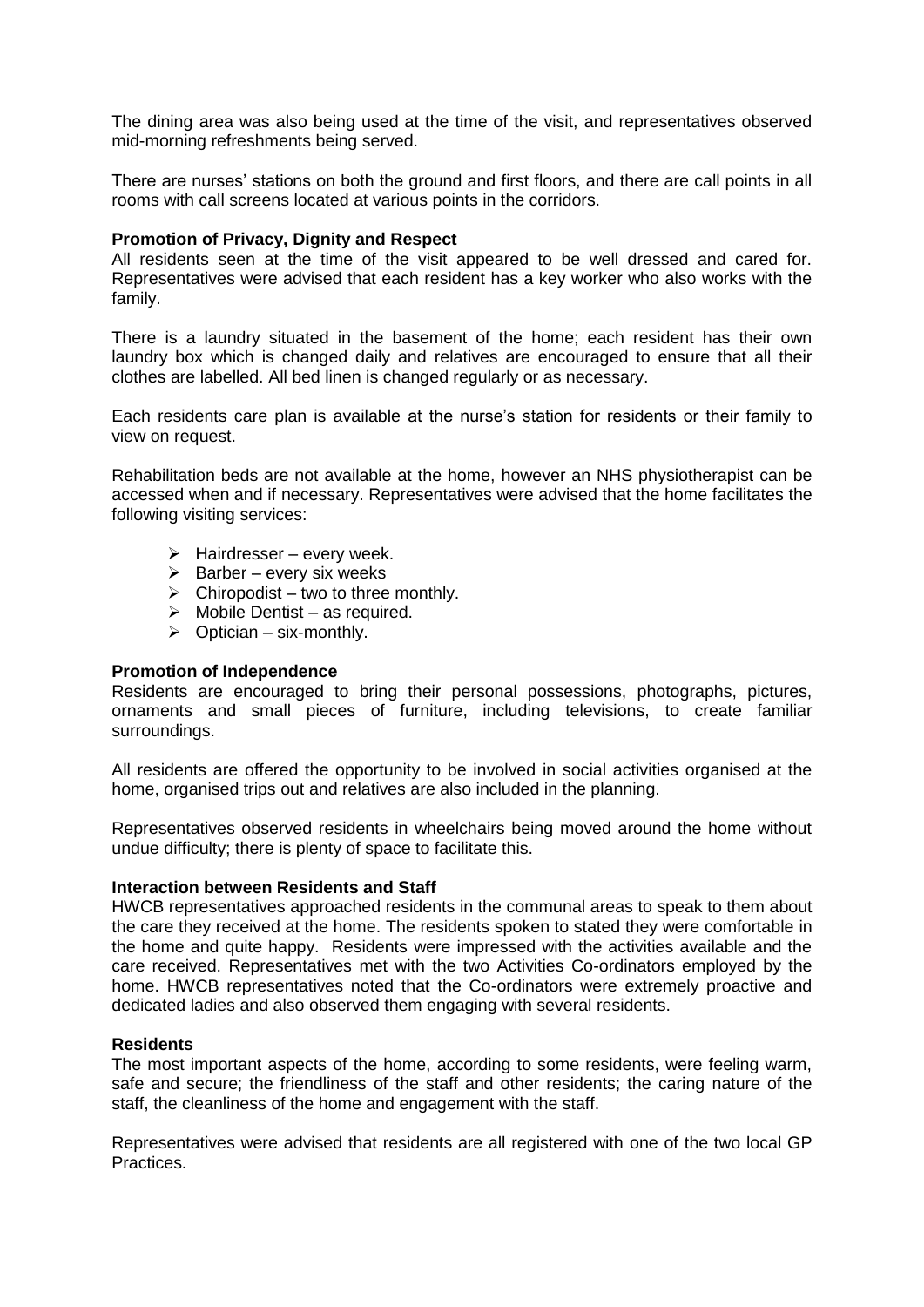The dining area was also being used at the time of the visit, and representatives observed mid-morning refreshments being served.

There are nurses' stations on both the ground and first floors, and there are call points in all rooms with call screens located at various points in the corridors.

#### **Promotion of Privacy, Dignity and Respect**

All residents seen at the time of the visit appeared to be well dressed and cared for. Representatives were advised that each resident has a key worker who also works with the family.

There is a laundry situated in the basement of the home; each resident has their own laundry box which is changed daily and relatives are encouraged to ensure that all their clothes are labelled. All bed linen is changed regularly or as necessary.

Each residents care plan is available at the nurse's station for residents or their family to view on request.

Rehabilitation beds are not available at the home, however an NHS physiotherapist can be accessed when and if necessary. Representatives were advised that the home facilitates the following visiting services:

- $\triangleright$  Hairdresser every week.
- $\triangleright$  Barber every six weeks
- $\triangleright$  Chiropodist two to three monthly.
- $\triangleright$  Mobile Dentist as required.
- $\triangleright$  Optician six-monthly.

#### **Promotion of Independence**

Residents are encouraged to bring their personal possessions, photographs, pictures, ornaments and small pieces of furniture, including televisions, to create familiar surroundings.

All residents are offered the opportunity to be involved in social activities organised at the home, organised trips out and relatives are also included in the planning.

Representatives observed residents in wheelchairs being moved around the home without undue difficulty; there is plenty of space to facilitate this.

#### **Interaction between Residents and Staff**

HWCB representatives approached residents in the communal areas to speak to them about the care they received at the home. The residents spoken to stated they were comfortable in the home and quite happy. Residents were impressed with the activities available and the care received. Representatives met with the two Activities Co-ordinators employed by the home. HWCB representatives noted that the Co-ordinators were extremely proactive and dedicated ladies and also observed them engaging with several residents.

#### **Residents**

The most important aspects of the home, according to some residents, were feeling warm, safe and secure; the friendliness of the staff and other residents; the caring nature of the staff, the cleanliness of the home and engagement with the staff.

Representatives were advised that residents are all registered with one of the two local GP Practices.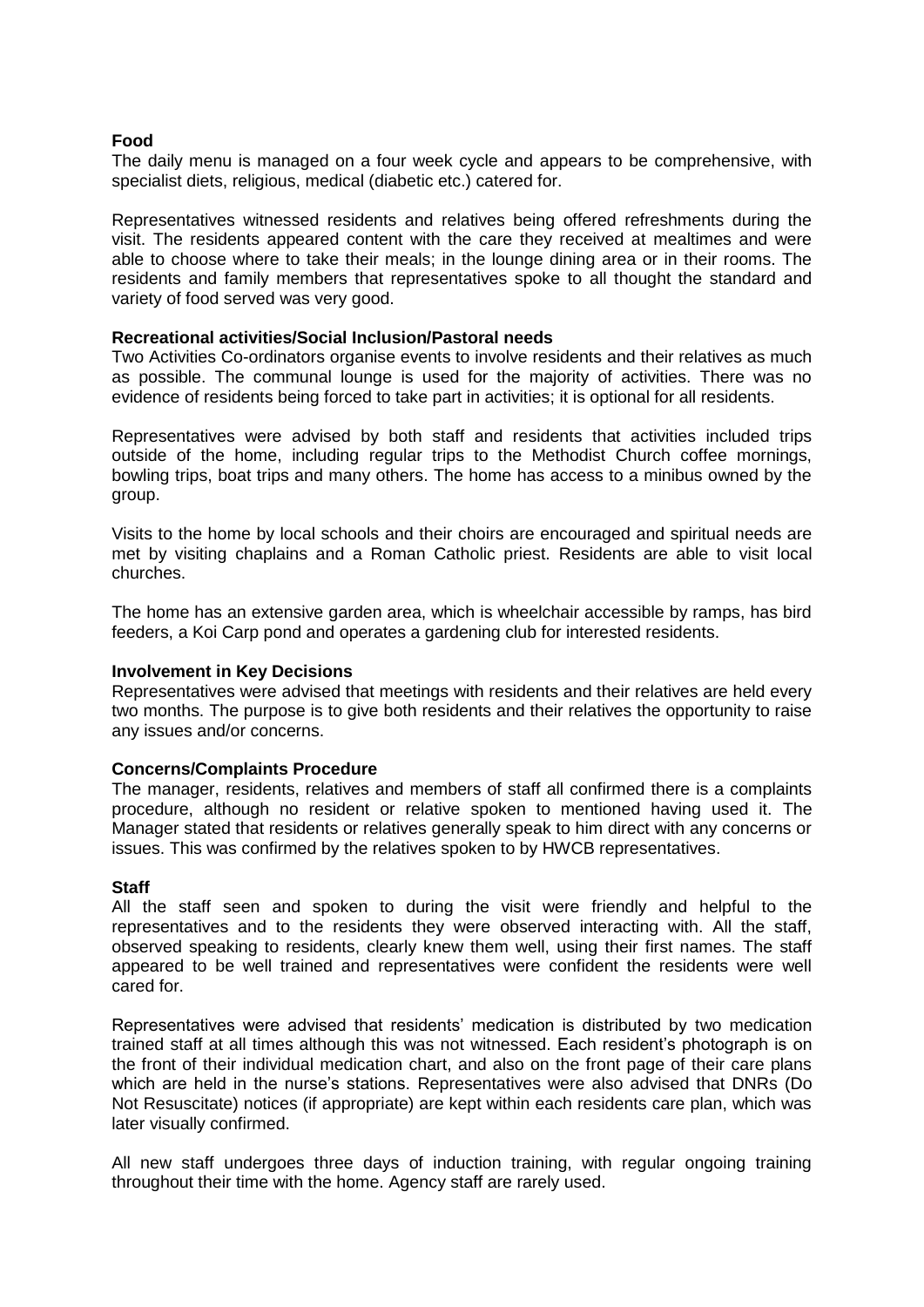#### **Food**

The daily menu is managed on a four week cycle and appears to be comprehensive, with specialist diets, religious, medical (diabetic etc.) catered for.

Representatives witnessed residents and relatives being offered refreshments during the visit. The residents appeared content with the care they received at mealtimes and were able to choose where to take their meals; in the lounge dining area or in their rooms. The residents and family members that representatives spoke to all thought the standard and variety of food served was very good.

#### **Recreational activities/Social Inclusion/Pastoral needs**

Two Activities Co-ordinators organise events to involve residents and their relatives as much as possible. The communal lounge is used for the majority of activities. There was no evidence of residents being forced to take part in activities; it is optional for all residents.

Representatives were advised by both staff and residents that activities included trips outside of the home, including regular trips to the Methodist Church coffee mornings, bowling trips, boat trips and many others. The home has access to a minibus owned by the group.

Visits to the home by local schools and their choirs are encouraged and spiritual needs are met by visiting chaplains and a Roman Catholic priest. Residents are able to visit local churches.

The home has an extensive garden area, which is wheelchair accessible by ramps, has bird feeders, a Koi Carp pond and operates a gardening club for interested residents.

#### **Involvement in Key Decisions**

Representatives were advised that meetings with residents and their relatives are held every two months. The purpose is to give both residents and their relatives the opportunity to raise any issues and/or concerns.

#### **Concerns/Complaints Procedure**

The manager, residents, relatives and members of staff all confirmed there is a complaints procedure, although no resident or relative spoken to mentioned having used it. The Manager stated that residents or relatives generally speak to him direct with any concerns or issues. This was confirmed by the relatives spoken to by HWCB representatives.

#### **Staff**

All the staff seen and spoken to during the visit were friendly and helpful to the representatives and to the residents they were observed interacting with. All the staff, observed speaking to residents, clearly knew them well, using their first names. The staff appeared to be well trained and representatives were confident the residents were well cared for.

Representatives were advised that residents' medication is distributed by two medication trained staff at all times although this was not witnessed. Each resident's photograph is on the front of their individual medication chart, and also on the front page of their care plans which are held in the nurse's stations. Representatives were also advised that DNRs (Do Not Resuscitate) notices (if appropriate) are kept within each residents care plan, which was later visually confirmed.

All new staff undergoes three days of induction training, with regular ongoing training throughout their time with the home. Agency staff are rarely used.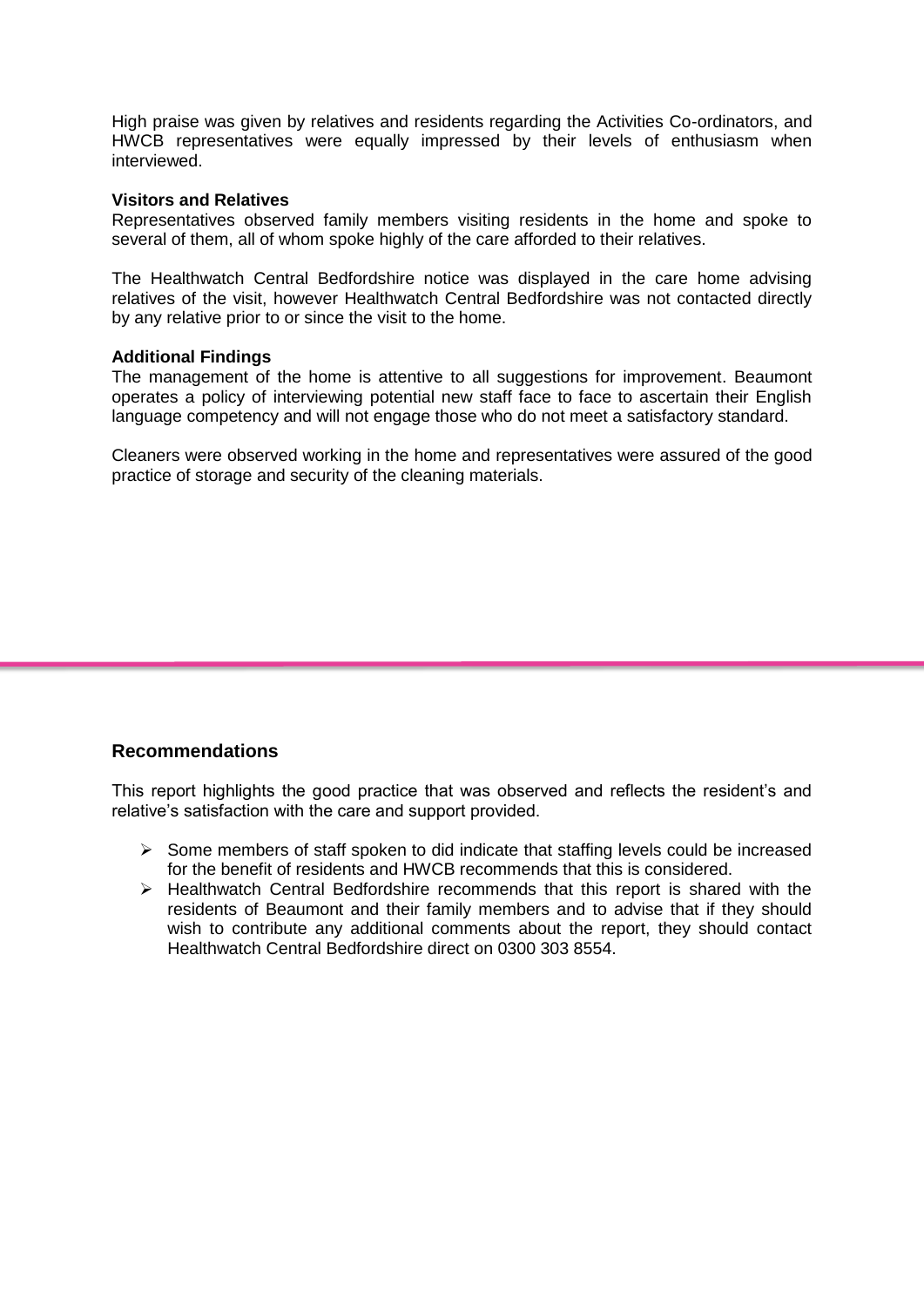High praise was given by relatives and residents regarding the Activities Co-ordinators, and HWCB representatives were equally impressed by their levels of enthusiasm when interviewed.

#### **Visitors and Relatives**

Representatives observed family members visiting residents in the home and spoke to several of them, all of whom spoke highly of the care afforded to their relatives.

The Healthwatch Central Bedfordshire notice was displayed in the care home advising relatives of the visit, however Healthwatch Central Bedfordshire was not contacted directly by any relative prior to or since the visit to the home.

#### **Additional Findings**

The management of the home is attentive to all suggestions for improvement. Beaumont operates a policy of interviewing potential new staff face to face to ascertain their English language competency and will not engage those who do not meet a satisfactory standard.

Cleaners were observed working in the home and representatives were assured of the good practice of storage and security of the cleaning materials.

## **Recommendations**

This report highlights the good practice that was observed and reflects the resident's and relative's satisfaction with the care and support provided.

- $\triangleright$  Some members of staff spoken to did indicate that staffing levels could be increased for the benefit of residents and HWCB recommends that this is considered.
- $\triangleright$  Healthwatch Central Bedfordshire recommends that this report is shared with the residents of Beaumont and their family members and to advise that if they should wish to contribute any additional comments about the report, they should contact Healthwatch Central Bedfordshire direct on 0300 303 8554.